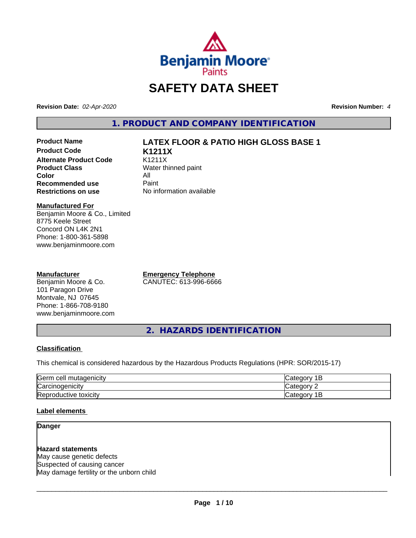

# **SAFETY DATA SHEET**

**Revision Date:** *02-Apr-2020* **Revision Number:** *4*

**1. PRODUCT AND COMPANY IDENTIFICATION**

**Product Code K1211X Alternate Product Code** K1211X<br> **Product Class** Water th **Color** All<br> **Recommended use** Paint **Recommended use**<br>Restrictions on use

# **Product Name LATEX FLOOR & PATIO HIGH GLOSS BASE 1**

**Water thinned paint No information available** 

**Manufactured For**

Benjamin Moore & Co., Limited 8775 Keele Street Concord ON L4K 2N1 Phone: 1-800-361-5898 www.benjaminmoore.com

#### **Manufacturer**

Benjamin Moore & Co. 101 Paragon Drive Montvale, NJ 07645 Phone: 1-866-708-9180 www.benjaminmoore.com **Emergency Telephone** CANUTEC: 613-996-6666

**2. HAZARDS IDENTIFICATION**

#### **Classification**

This chemical is considered hazardous by the Hazardous Products Regulations (HPR: SOR/2015-17)

| <b>IGerm</b><br>cell<br>mutagenicity | AIPOP<br>$\sim$ $\sim$<br>-                       |
|--------------------------------------|---------------------------------------------------|
| ⌒<br> Carcinogenicity                | $\sim$<br>ำืื้<br>16                              |
| −<br>toxicity<br>'Reproductive       | -<br>$A$ IANO <sup>r</sup><br>$\sim$<br>vait<br>- |

#### **Label elements**

## **Danger**

**Hazard statements** May cause genetic defects Suspected of causing cancer May damage fertility or the unborn child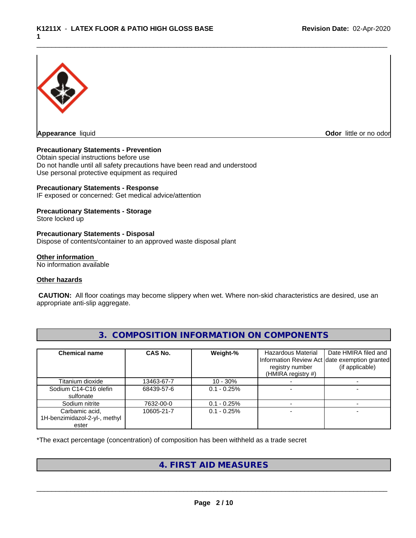

**Odor** little or no odor

#### **Precautionary Statements - Prevention**

Obtain special instructions before use Do not handle until all safety precautions have been read and understood Use personal protective equipment as required

#### **Precautionary Statements - Response**

IF exposed or concerned: Get medical advice/attention

#### **Precautionary Statements - Storage**

Store locked up

#### **Precautionary Statements - Disposal**

Dispose of contents/container to an approved waste disposal plant

#### **Other information**

No information available

#### **Other hazards**

 **CAUTION:** All floor coatings may become slippery when wet. Where non-skid characteristics are desired, use an appropriate anti-slip aggregate.

| <b>Chemical name</b>                                     | <b>CAS No.</b> | Weight-%      | Hazardous Material<br>Information Review Act date exemption granted<br>registry number<br>(HMIRA registry $#$ ) | Date HMIRA filed and<br>(if applicable) |
|----------------------------------------------------------|----------------|---------------|-----------------------------------------------------------------------------------------------------------------|-----------------------------------------|
| Titanium dioxide                                         | 13463-67-7     | $10 - 30\%$   |                                                                                                                 |                                         |
| Sodium C14-C16 olefin<br>sulfonate                       | 68439-57-6     | $0.1 - 0.25%$ |                                                                                                                 |                                         |
| Sodium nitrite                                           | 7632-00-0      | $0.1 - 0.25%$ |                                                                                                                 |                                         |
| Carbamic acid,<br>1H-benzimidazol-2-yl-, methyl<br>ester | 10605-21-7     | $0.1 - 0.25%$ |                                                                                                                 |                                         |

# **3. COMPOSITION INFORMATION ON COMPONENTS**

\*The exact percentage (concentration) of composition has been withheld as a trade secret

# **4. FIRST AID MEASURES**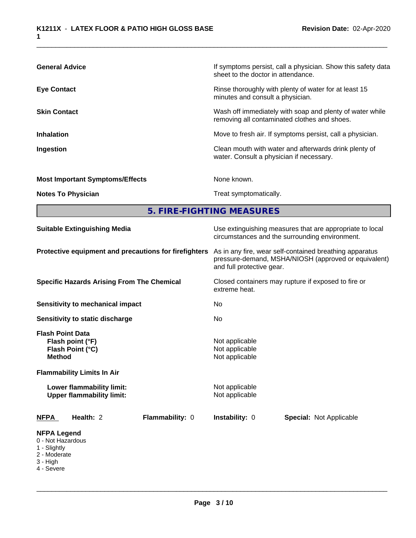| <b>General Advice</b>                  | If symptoms persist, call a physician. Show this safety data<br>sheet to the doctor in attendance.       |
|----------------------------------------|----------------------------------------------------------------------------------------------------------|
| <b>Eye Contact</b>                     | Rinse thoroughly with plenty of water for at least 15<br>minutes and consult a physician.                |
| <b>Skin Contact</b>                    | Wash off immediately with soap and plenty of water while<br>removing all contaminated clothes and shoes. |
| <b>Inhalation</b>                      | Move to fresh air. If symptoms persist, call a physician.                                                |
| Ingestion                              | Clean mouth with water and afterwards drink plenty of<br>water. Consult a physician if necessary.        |
| <b>Most Important Symptoms/Effects</b> | None known.                                                                                              |
| <b>Notes To Physician</b>              | Treat symptomatically.                                                                                   |

**5. FIRE-FIGHTING MEASURES** 

| <b>Suitable Extinguishing Media</b>                                                                                                                | Use extinguishing measures that are appropriate to local<br>circumstances and the surrounding environment.                                   |  |  |  |
|----------------------------------------------------------------------------------------------------------------------------------------------------|----------------------------------------------------------------------------------------------------------------------------------------------|--|--|--|
| Protective equipment and precautions for firefighters                                                                                              | As in any fire, wear self-contained breathing apparatus<br>pressure-demand, MSHA/NIOSH (approved or equivalent)<br>and full protective gear. |  |  |  |
| <b>Specific Hazards Arising From The Chemical</b>                                                                                                  | Closed containers may rupture if exposed to fire or<br>extreme heat.                                                                         |  |  |  |
| <b>Sensitivity to mechanical impact</b>                                                                                                            | No                                                                                                                                           |  |  |  |
| Sensitivity to static discharge                                                                                                                    | No                                                                                                                                           |  |  |  |
| <b>Flash Point Data</b><br>Flash point (°F)<br>Flash Point (°C)<br><b>Method</b><br><b>Flammability Limits In Air</b><br>Lower flammability limit: | Not applicable<br>Not applicable<br>Not applicable<br>Not applicable                                                                         |  |  |  |
| <b>Upper flammability limit:</b>                                                                                                                   | Not applicable                                                                                                                               |  |  |  |
| Flammability: 0<br><b>NFPA</b><br>Health: 2                                                                                                        | Instability: 0<br><b>Special: Not Applicable</b>                                                                                             |  |  |  |
| <b>NFPA Legend</b><br>0 - Not Hazardous<br>1 - Slightly<br>2 - Moderate<br>3 - High<br>4 - Severe                                                  |                                                                                                                                              |  |  |  |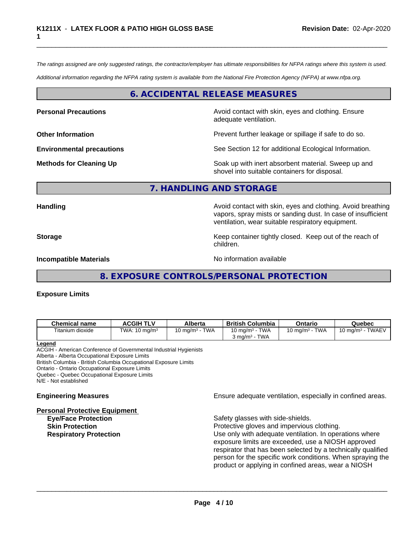*The ratings assigned are only suggested ratings, the contractor/employer has ultimate responsibilities for NFPA ratings where this system is used.*

*Additional information regarding the NFPA rating system is available from the National Fire Protection Agency (NFPA) at www.nfpa.org.*

# **6. ACCIDENTAL RELEASE MEASURES**

**Personal Precautions Precautions** Avoid contact with skin, eyes and clothing. Ensure adequate ventilation.

**Other Information Department Information Department Intervent further leakage or spillage if safe to do so.** 

**Environmental precautions** See Section 12 for additional Ecological Information.

**Methods for Cleaning Up Example 20 Soak** up with inert absorbent material. Sweep up and shovel into suitable containers for disposal.

## **7. HANDLING AND STORAGE**

**Handling Handling Avoid contact with skin, eyes and clothing. Avoid breathing and all of the sking of the anglishment of the sking and clothing. Avoid breathing** vapors, spray mists or sanding dust. In case of insufficient ventilation, wear suitable respiratory equipment.

**Storage** Storage **Keep container tightly closed.** Keep out of the reach of

**Incompatible Materials** Noinformation available

**8. EXPOSURE CONTROLS/PERSONAL PROTECTION**

children.

#### **Exposure Limits**

| <b>Chemical name</b> | <b>ACGIH TLV</b>                       | Alberta                           | <b>British Columbia</b>   | Ontario            | Quebec                                 |
|----------------------|----------------------------------------|-----------------------------------|---------------------------|--------------------|----------------------------------------|
| Titanium dioxide     | TWA:<br>$10 \text{ mg/m}$ <sup>3</sup> | <b>TWA</b><br>$10 \text{ mg/m}^3$ | <b>TWA</b><br>10 mg/m $3$ | TWA<br>10 mg/m $3$ | <b>TWAEV</b><br>Mmd/m <sup>3</sup> ، س |
|                      |                                        |                                   | TWA<br>$3 \text{ ma/m}^3$ |                    |                                        |

#### **Legend**

ACGIH - American Conference of Governmental Industrial Hygienists Alberta - Alberta Occupational Exposure Limits British Columbia - British Columbia Occupational Exposure Limits

Ontario - Ontario Occupational Exposure Limits

Quebec - Quebec Occupational Exposure Limits

N/E - Not established

**Personal Protective Equipment**

**Engineering Measures Ensure** Ensure adequate ventilation, especially in confined areas.

Safety glasses with side-shields. **Skin Protection Protection Protective gloves and impervious clothing. Respiratory Protection Number 1** (Use only with adequate ventilation. In operations where exposure limits are exceeded, use a NIOSH approved respirator that has been selected by a technically qualified person for the specific work conditions. When spraying the product or applying in confined areas, wear a NIOSH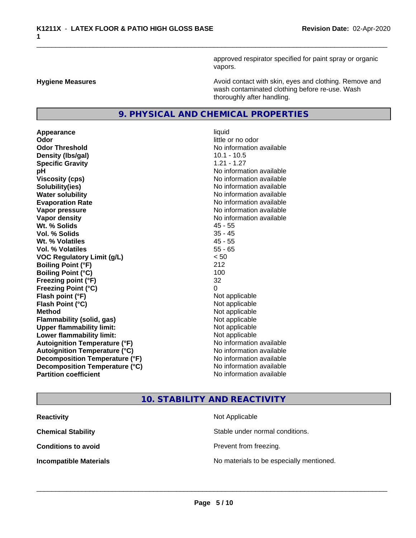approved respirator specified for paint spray or organic vapors.

**Hygiene Measures Avoid contact with skin, eyes and clothing. Remove and Avoid contact with skin, eyes and clothing. Remove and Avoid contact with skin, eyes and clothing. Remove and** wash contaminated clothing before re-use. Wash thoroughly after handling.

## **9. PHYSICAL AND CHEMICAL PROPERTIES**

**Appearance** liquid **Odor** little or no odor **Odor Threshold No information available No information available Density (Ibs/gal)** 10.1 - 10.5 **Specific Gravity** 1.21 - 1.27 **pH** No information available **Viscosity (cps)** No information available **Solubility(ies)** No information available **Water solubility Water solubility Water solubility Water solubility No information available Evaporation Rate No information available No information available Vapor pressure** No information available **No information** available **Vapor density No information available No information available Wt. % Solids** 45 - 55 **Vol. % Solids** 35 - 45 **Wt. % Volatiles** 45 - 55 **Vol. % Volatiles** 55 - 65 **VOC Regulatory Limit (g/L)** < 50 **Boiling Point (°F)** 212 **Boiling Point (°C)** 100 **Freezing point (°F)** 32 **Freezing Point (°C)** 0 **Flash point (°F)**  $\qquad \qquad$  Not applicable **Flash Point (°C)** Not applicable **Method** Not applicable **Flammability (solid, gas)** Not applicable **Upper flammability limit:** Not applicable **Lower flammability limit:** Not applicable **Autoignition Temperature (°F)** No information available **Autoignition Temperature (°C)** No information available **Decomposition Temperature (°F)** No information available **Decomposition Temperature (°C)** No information available<br> **Partition coefficient Partition available** 

# **No information available**

# **10. STABILITY AND REACTIVITY**

| <b>Reactivity</b>             | Not Applicable                           |
|-------------------------------|------------------------------------------|
| <b>Chemical Stability</b>     | Stable under normal conditions.          |
| <b>Conditions to avoid</b>    | Prevent from freezing.                   |
| <b>Incompatible Materials</b> | No materials to be especially mentioned. |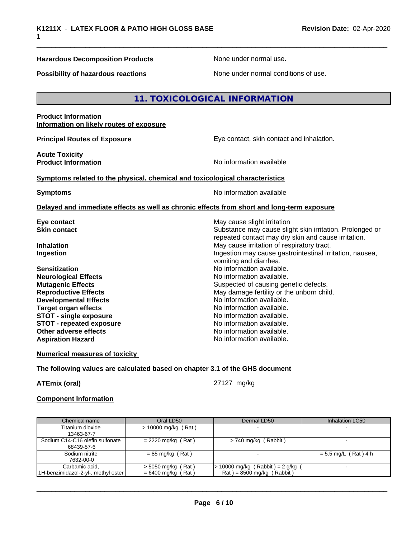#### **Hazardous Decomposition Products None under normal use.** None under normal use.

**Possibility of hazardous reactions** None under normal conditions of use.

# **11. TOXICOLOGICAL INFORMATION**

# **Product Information Information on likely routes of exposure Principal Routes of Exposure Exposure** Eye contact, skin contact and inhalation. **Acute Toxicity Product Information No information No information** available **Symptoms related to the physical,chemical and toxicological characteristics Symptoms** No information available **Delayed and immediate effects as well as chronic effects from short and long-term exposure Eye contact Exercise Solution** May cause slight irritation **Skin contact** Substance may cause slight skin irritation. Prolonged or repeated contact may dry skin and cause irritation. **Inhalation** May cause irritation of respiratory tract. **Ingestion Ingestion Ingestion may cause gastrointestinal irritation, nausea,** vomiting and diarrhea. **Sensitization**<br> **No** information available.<br> **No** information available.<br>
No information available. **Neurological Effects Mutagenic Effects** Suspected of causing genetic defects. **Reproductive Effects** May damage fertility or the unborn child.<br> **Developmental Effects** Moinformation available. **Developmental Effects No information available.**<br> **Target organ effects No information available. Target organ effects STOT -** single exposure<br> **STOT -** repeated exposure<br>
No information available **STOT** - repeated exposure

**Numerical measures of toxicity**

#### **The following values are calculated based on chapter 3.1 of the GHS document**

**Other adverse effects** No information available. **Aspiration Hazard No information available.** 

**ATEmix (oral)** 27127 mg/kg

 $\overline{\phantom{a}}$  ,  $\overline{\phantom{a}}$  ,  $\overline{\phantom{a}}$  ,  $\overline{\phantom{a}}$  ,  $\overline{\phantom{a}}$  ,  $\overline{\phantom{a}}$  ,  $\overline{\phantom{a}}$  ,  $\overline{\phantom{a}}$  ,  $\overline{\phantom{a}}$  ,  $\overline{\phantom{a}}$  ,  $\overline{\phantom{a}}$  ,  $\overline{\phantom{a}}$  ,  $\overline{\phantom{a}}$  ,  $\overline{\phantom{a}}$  ,  $\overline{\phantom{a}}$  ,  $\overline{\phantom{a}}$ 

#### **Component Information**

| Chemical name                       | Oral LD50             | Dermal LD50                         | Inhalation LC50        |
|-------------------------------------|-----------------------|-------------------------------------|------------------------|
| Titanium dioxide                    | $> 10000$ mg/kg (Rat) |                                     |                        |
| 13463-67-7                          |                       |                                     |                        |
| Sodium C14-C16 olefin sulfonate     | $= 2220$ mg/kg (Rat)  | $> 740$ mg/kg (Rabbit)              |                        |
| 68439-57-6                          |                       |                                     |                        |
| Sodium nitrite                      | $= 85$ mg/kg (Rat)    |                                     | $= 5.5$ mg/L (Rat) 4 h |
| 7632-00-0                           |                       |                                     |                        |
| Carbamic acid,                      | $>$ 5050 mg/kg (Rat)  | $> 10000$ mg/kg (Rabbit) = 2 g/kg ( |                        |
| 1H-benzimidazol-2-yl-, methyl ester | $= 6400$ mg/kg (Rat)  | $Rat$ = 8500 mg/kg (Rabbit)         |                        |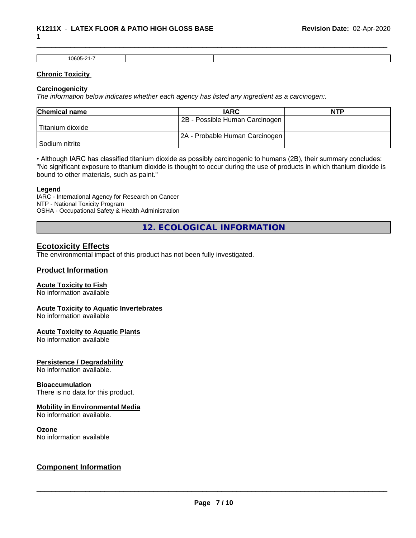#### \_\_\_\_\_\_\_\_\_\_\_\_\_\_\_\_\_\_\_\_\_\_\_\_\_\_\_\_\_\_\_\_\_\_\_\_\_\_\_\_\_\_\_\_\_\_\_\_\_\_\_\_\_\_\_\_\_\_\_\_\_\_\_\_\_\_\_\_\_\_\_\_\_\_\_\_\_\_\_\_\_\_\_\_\_\_\_\_\_\_\_\_\_ **K1211X** - **LATEX FLOOR & PATIO HIGH GLOSS BASE 1**

| 0605-21 |  |  |
|---------|--|--|

#### **Chronic Toxicity**

#### **Carcinogenicity**

*The information below indicateswhether each agency has listed any ingredient as a carcinogen:.*

| <b>Chemical name</b> | <b>IARC</b>                    | <b>NTP</b> |
|----------------------|--------------------------------|------------|
|                      | 2B - Possible Human Carcinogen |            |
| Titanium dioxide     |                                |            |
|                      | 2A - Probable Human Carcinogen |            |
| l Sodium nitrite     |                                |            |

• Although IARC has classified titanium dioxide as possibly carcinogenic to humans (2B), their summary concludes: "No significant exposure to titanium dioxide is thought to occur during the use of products in which titanium dioxide is bound to other materials, such as paint."

#### **Legend**

IARC - International Agency for Research on Cancer NTP - National Toxicity Program OSHA - Occupational Safety & Health Administration

**12. ECOLOGICAL INFORMATION**

# **Ecotoxicity Effects**

The environmental impact of this product has not been fully investigated.

#### **Product Information**

#### **Acute Toxicity to Fish**

No information available

#### **Acute Toxicity to Aquatic Invertebrates**

No information available

#### **Acute Toxicity to Aquatic Plants**

No information available

#### **Persistence / Degradability**

No information available.

#### **Bioaccumulation**

There is no data for this product.

#### **Mobility in Environmental Media**

No information available.

#### **Ozone**

No information available

# **Component Information**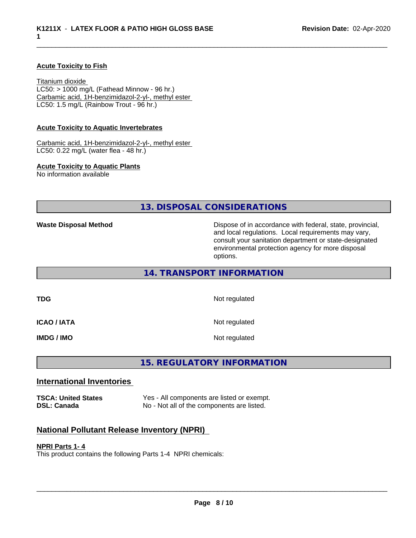#### **Acute Toxicity to Fish**

Titanium dioxide  $LC50:$  > 1000 mg/L (Fathead Minnow - 96 hr.) Carbamic acid, 1H-benzimidazol-2-yl-, methyl ester LC50: 1.5 mg/L (Rainbow Trout - 96 hr.)

#### **Acute Toxicity to Aquatic Invertebrates**

Carbamic acid, 1H-benzimidazol-2-yl-, methyl ester LC50: 0.22 mg/L (water flea - 48 hr.)

#### **Acute Toxicity to Aquatic Plants**

No information available

**13. DISPOSAL CONSIDERATIONS**

**Waste Disposal Method** Mathol Dispose of in accordance with federal, state, provincial, and local regulations. Local requirements may vary, consult your sanitation department or state-designated environmental protection agency for more disposal options.

## **14. TRANSPORT INFORMATION**

**TDG** Not regulated

**ICAO / IATA** Not regulated

**IMDG / IMO** Not regulated

# **15. REGULATORY INFORMATION**

### **International Inventories**

| <b>TSCA: United States</b> | Yes - All components are listed or exempt. |
|----------------------------|--------------------------------------------|
| <b>DSL: Canada</b>         | No - Not all of the components are listed. |

#### **National Pollutant Release Inventory (NPRI)**

#### **NPRI Parts 1- 4**

This product contains the following Parts 1-4 NPRI chemicals: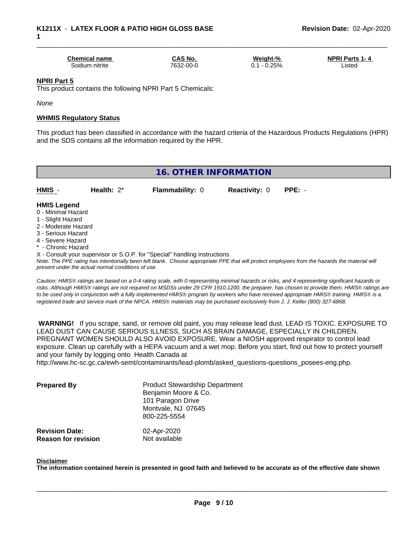| <b>Chemical name</b> | <b>CAS No.</b> | Weight-%     | <b>NPRI Parts 1-4</b> |
|----------------------|----------------|--------------|-----------------------|
| 30dium nitrite       | 7632-00-0      | 0.25%<br>U., | Listed                |

#### **NPRI Part 5**

This product contains the following NPRI Part 5 Chemicals:

*None*

#### **WHMIS Regulatory Status**

This product has been classified in accordance with the hazard criteria of the Hazardous Products Regulations (HPR) and the SDS contains all the information required by the HPR.

# **16. OTHER INFORMATION**

**HMIS** - **Health:** 2\* **Flammability:** 0 **Reactivity:** 0 **PPE:** -

#### **HMIS Legend**

- 0 Minimal Hazard
- 1 Slight Hazard
- 2 Moderate Hazard
- 3 Serious Hazard
- 4 Severe Hazard
- \* Chronic Hazard
- X Consult your supervisor or S.O.P. for "Special" handling instructions.

*Note: The PPE rating has intentionally been left blank. Choose appropriate PPE that will protect employees from the hazards the material will present under the actual normal conditions of use.*

*Caution: HMISÒ ratings are based on a 0-4 rating scale, with 0 representing minimal hazards or risks, and 4 representing significant hazards or risks. Although HMISÒ ratings are not required on MSDSs under 29 CFR 1910.1200, the preparer, has chosen to provide them. HMISÒ ratings are to be used only in conjunction with a fully implemented HMISÒ program by workers who have received appropriate HMISÒ training. HMISÒ is a registered trade and service mark of the NPCA. HMISÒ materials may be purchased exclusively from J. J. Keller (800) 327-6868.*

 **WARNING!** If you scrape, sand, or remove old paint, you may release lead dust. LEAD IS TOXIC. EXPOSURE TO LEAD DUST CAN CAUSE SERIOUS ILLNESS, SUCH AS BRAIN DAMAGE, ESPECIALLY IN CHILDREN. PREGNANT WOMEN SHOULD ALSO AVOID EXPOSURE.Wear a NIOSH approved respirator to control lead exposure. Clean up carefully with a HEPA vacuum and a wet mop. Before you start, find out how to protect yourself and your family by logging onto Health Canada at

http://www.hc-sc.gc.ca/ewh-semt/contaminants/lead-plomb/asked\_questions-questions\_posees-eng.php.

| <b>Prepared By</b>                                  | <b>Product Stewardship Department</b><br>Benjamin Moore & Co.<br>101 Paragon Drive<br>Montvale, NJ 07645<br>800-225-5554 |  |
|-----------------------------------------------------|--------------------------------------------------------------------------------------------------------------------------|--|
| <b>Revision Date:</b><br><b>Reason for revision</b> | 02-Apr-2020<br>Not available                                                                                             |  |

#### **Disclaimer**

The information contained herein is presented in good faith and believed to be accurate as of the effective date shown